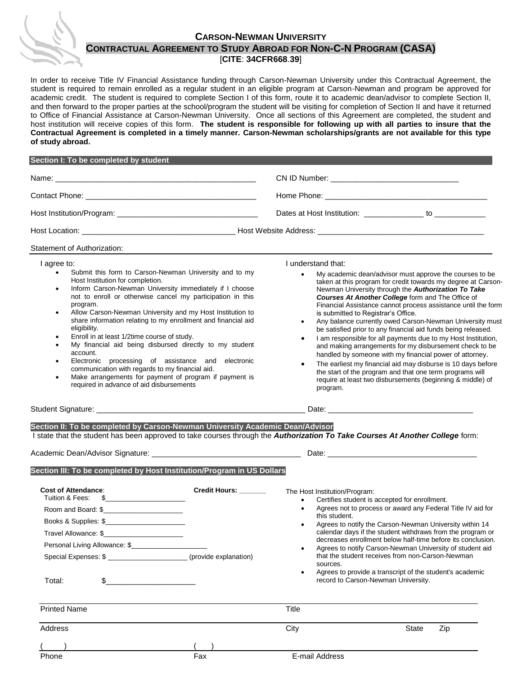## **CARSON-NEWMAN UNIVERSITY**

**CONTRACTUAL AGREEMENT TO STUDY ABROAD FOR NON-C-N PROGRAM (CASA)**

## [**CITE**: **34CFR668**.**39**]

In order to receive Title IV Financial Assistance funding through Carson-Newman University under this Contractual Agreement, the student is required to remain enrolled as a regular student in an eligible program at Carson-Newman and program be approved for academic credit. The student is required to complete Section I of this form, route it to academic dean/advisor to complete Section II, and then forward to the proper parties at the school/program the student will be visiting for completion of Section II and have it returned to Office of Financial Assistance at Carson-Newman University. Once all sections of this Agreement are completed, the student and host institution will receive copies of this form. **The student is responsible for following up with all parties to insure that the Contractual Agreement is completed in a timely manner. Carson-Newman scholarships/grants are not available for this type of study abroad.**

| Section I: To be completed by student |                                                               |
|---------------------------------------|---------------------------------------------------------------|
|                                       |                                                               |
|                                       |                                                               |
|                                       | Dates at Host Institution: _________________ to _____________ |
|                                       |                                                               |

## Statement of Authorization:

I agree to:

- Submit this form to Carson-Newman University and to my Host Institution for completion.
- Inform Carson-Newman University immediately if I choose not to enroll or otherwise cancel my participation in this program.
- Allow Carson-Newman University and my Host Institution to share information relating to my enrollment and financial aid eligibility.
- Enroll in at least 1/2time course of study.
- My financial aid being disbursed directly to my student account.
- Electronic processing of assistance and electronic communication with regards to my financial aid.
- Make arrangements for payment of program if payment is required in advance of aid disbursements

Special Expenses: \$

I understand that:

- My academic dean/advisor must approve the courses to be taken at this program for credit towards my degree at Carson-Newman University through the *Authorization To Take Courses At Another College* form and The Office of Financial Assistance cannot process assistance until the form is submitted to Registrar's Office.
- Any balance currently owed Carson-Newman University must be satisfied prior to any financial aid funds being released.
- I am responsible for all payments due to my Host Institution, and making arrangements for my disbursement check to be handled by someone with my financial power of attorney.
- The earliest my financial aid may disburse is 10 days before the start of the program and that one term programs will require at least two disbursements (beginning & middle) of program.

| Student<br>Signature | Jate |
|----------------------|------|
|                      |      |

 Books & Supplies: \$\_\_\_\_\_\_\_\_\_\_\_\_\_\_\_\_\_\_\_\_\_ Travel Allowance: \$\_\_\_\_\_\_\_\_\_\_\_\_\_\_\_\_\_\_\_\_\_

Personal Living Allowance: \$

Total: \$\_\_\_\_\_\_\_\_\_\_\_\_\_\_\_\_\_\_\_\_\_

**Section II: To be completed by Carson-Newman University Academic Dean/Advisor** I state that the student has been approved to take courses through the *Authorization To Take Courses At Another College* form: Academic Dean/Advisor Signature: \_\_\_\_\_\_\_\_\_\_\_\_\_\_\_\_\_\_\_\_\_\_\_\_\_\_\_\_\_\_\_\_\_\_\_ Date: \_\_\_\_\_\_\_\_\_\_\_\_\_\_\_\_\_\_\_\_\_\_\_\_\_\_\_\_\_\_\_\_\_\_\_ **Section III: To be completed by Host Institution/Program in US Dollars Cost of Attendance**: **Credit Hours: \_\_\_\_\_\_\_** Tuition & Fees: \$ Room and Board: \$\_\_\_\_\_\_\_\_\_\_\_\_\_\_\_\_\_\_\_\_\_ The Host Institution/Program: Certifies student is accepted for enrollment.

- Agrees not to process or award any Federal Title IV aid for this student.
- Agrees to notify the Carson-Newman University within 14 calendar days if the student withdraws from the program or decreases enrollment below half-time before its conclusion.
- Agrees to notify Carson-Newman University of student aid that the student receives from non-Carson-Newman sources.
- Agrees to provide a transcript of the student's academic record to Carson-Newman University.

| <b>Printed Name</b> |     | Title          |              |
|---------------------|-----|----------------|--------------|
| Address             |     | City           | State<br>Zip |
|                     |     |                |              |
| Phone               | Fax | E-mail Address |              |